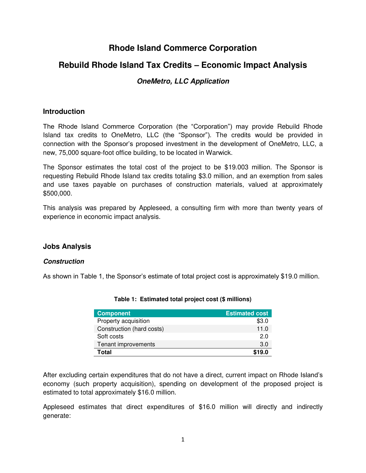# **Rhode Island Commerce Corporation**

## **Rebuild Rhode Island Tax Credits – Economic Impact Analysis**

## **OneMetro, LLC Application**

### **Introduction**

The Rhode Island Commerce Corporation (the "Corporation") may provide Rebuild Rhode Island tax credits to OneMetro, LLC (the "Sponsor"). The credits would be provided in connection with the Sponsor's proposed investment in the development of OneMetro, LLC, a new, 75,000 square-foot office building, to be located in Warwick.

The Sponsor estimates the total cost of the project to be \$19.003 million. The Sponsor is requesting Rebuild Rhode Island tax credits totaling \$3.0 million, and an exemption from sales and use taxes payable on purchases of construction materials, valued at approximately \$500,000.

This analysis was prepared by Appleseed, a consulting firm with more than twenty years of experience in economic impact analysis.

### **Jobs Analysis**

#### **Construction**

As shown in Table 1, the Sponsor's estimate of total project cost is approximately \$19.0 million.

| <b>Component</b>          | <b>Estimated cost</b> |
|---------------------------|-----------------------|
| Property acquisition      | \$3.0                 |
| Construction (hard costs) | 11.0                  |
| Soft costs                | 2.0                   |
| Tenant improvements       | 3.0                   |
| Total                     | \$19.0                |

**Table 1: Estimated total project cost (\$ millions)** 

After excluding certain expenditures that do not have a direct, current impact on Rhode Island's economy (such property acquisition), spending on development of the proposed project is estimated to total approximately \$16.0 million.

Appleseed estimates that direct expenditures of \$16.0 million will directly and indirectly generate: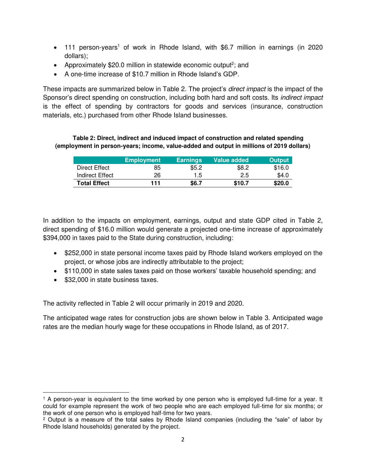- 111 person-years<sup>1</sup> of work in Rhode Island, with \$6.7 million in earnings (in 2020 dollars);
- Approximately \$20.0 million in statewide economic output<sup>2</sup>; and
- A one-time increase of \$10.7 million in Rhode Island's GDP.

These impacts are summarized below in Table 2. The project's *direct impact* is the impact of the Sponsor's direct spending on construction, including both hard and soft costs. Its indirect impact is the effect of spending by contractors for goods and services (insurance, construction materials, etc.) purchased from other Rhode Island businesses.

#### **Table 2: Direct, indirect and induced impact of construction and related spending (employment in person-years; income, value-added and output in millions of 2019 dollars)**

|                     | <b>Employment</b> | <b>Earnings</b> | Value added | <b>Output</b> |
|---------------------|-------------------|-----------------|-------------|---------------|
| Direct Effect       | 85                | \$5.2           | \$8.2       | \$16.0        |
| Indirect Effect     | 26                | 1.5             | 2.5         | \$4.0         |
| <b>Total Effect</b> | 111               | \$6.7           | \$10.7      | \$20.0        |

In addition to the impacts on employment, earnings, output and state GDP cited in Table 2, direct spending of \$16.0 million would generate a projected one-time increase of approximately \$394,000 in taxes paid to the State during construction, including:

- \$252,000 in state personal income taxes paid by Rhode Island workers employed on the project, or whose jobs are indirectly attributable to the project;
- \$110,000 in state sales taxes paid on those workers' taxable household spending; and
- \$32,000 in state business taxes.

 $\overline{a}$ 

The activity reflected in Table 2 will occur primarily in 2019 and 2020.

The anticipated wage rates for construction jobs are shown below in Table 3. Anticipated wage rates are the median hourly wage for these occupations in Rhode Island, as of 2017.

<sup>1</sup> A person-year is equivalent to the time worked by one person who is employed full-time for a year. It could for example represent the work of two people who are each employed full-time for six months; or the work of one person who is employed half-time for two years.

<sup>2</sup> Output is a measure of the total sales by Rhode Island companies (including the "sale" of labor by Rhode Island households) generated by the project.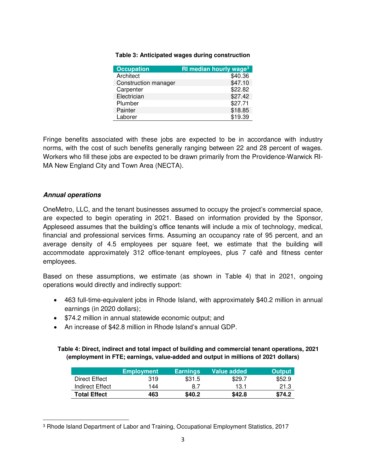| <b>Occupation</b>    | <b>RI median hourly wage<sup>3</sup></b> |
|----------------------|------------------------------------------|
| Architect            | \$40.36                                  |
| Construction manager | \$47.10                                  |
| Carpenter            | \$22.82                                  |
| Electrician          | \$27.42                                  |
| Plumber              | \$27.71                                  |
| Painter              | \$18.85                                  |
| Laborer              | \$19.39                                  |

#### **Table 3: Anticipated wages during construction**

Fringe benefits associated with these jobs are expected to be in accordance with industry norms, with the cost of such benefits generally ranging between 22 and 28 percent of wages. Workers who fill these jobs are expected to be drawn primarily from the Providence-Warwick RI-MA New England City and Town Area (NECTA).

#### **Annual operations**

l

OneMetro, LLC, and the tenant businesses assumed to occupy the project's commercial space, are expected to begin operating in 2021. Based on information provided by the Sponsor, Appleseed assumes that the building's office tenants will include a mix of technology, medical, financial and professional services firms. Assuming an occupancy rate of 95 percent, and an average density of 4.5 employees per square feet, we estimate that the building will accommodate approximately 312 office-tenant employees, plus 7 café and fitness center employees.

Based on these assumptions, we estimate (as shown in Table 4) that in 2021, ongoing operations would directly and indirectly support:

- 463 full-time-equivalent jobs in Rhode Island, with approximately \$40.2 million in annual earnings (in 2020 dollars);
- \$74.2 million in annual statewide economic output; and
- An increase of \$42.8 million in Rhode Island's annual GDP.

#### **Table 4: Direct, indirect and total impact of building and commercial tenant operations, 2021 (employment in FTE; earnings, value-added and output in millions of 2021 dollars)**

|                     | <b>Employment</b> | <b>Earnings</b> | Value added | <b>Output</b> |
|---------------------|-------------------|-----------------|-------------|---------------|
| Direct Effect       | 319               | \$31.5          | \$29.7      | \$52.9        |
| Indirect Effect     | 144               | 8.7             | 13.1        | 21.3          |
| <b>Total Effect</b> | 463               | \$40.2          | \$42.8      | \$74.2        |

<sup>3</sup> Rhode Island Department of Labor and Training, Occupational Employment Statistics, 2017